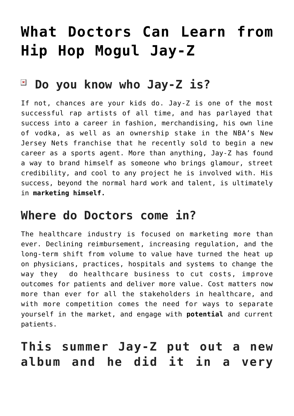# **[What Doctors Can Learn from](https://managemypractice.com/what-doctors-can-learn-from-hip-hop-mogul-jay-z/) [Hip Hop Mogul Jay-Z](https://managemypractice.com/what-doctors-can-learn-from-hip-hop-mogul-jay-z/)**

#### $\pmb{\times}$ **Do you know who Jay-Z is?**

If not, chances are your kids do. Jay-Z is one of the most successful rap artists of all time, and has parlayed that success into a career in fashion, merchandising, his own line of vodka, as well as an ownership stake in the NBA's New Jersey Nets franchise that he recently sold to begin a new career as a sports agent. More than anything, Jay-Z has found a way to brand himself as someone who brings glamour, street credibility, and cool to any project he is involved with. His success, beyond the normal hard work and talent, is ultimately in **marketing himself.**

#### **Where do Doctors come in?**

The healthcare industry is focused on marketing more than ever. Declining reimbursement, increasing regulation, and the long-term shift from volume to value have turned the heat up on physicians, practices, hospitals and systems to change the way they do healthcare business to cut costs, improve outcomes for patients and deliver more value. Cost matters now more than ever for all the stakeholders in healthcare, and with more competition comes the need for ways to separate yourself in the market, and engage with **potential** and current patients.

# **This summer Jay-Z put out a new album and he did it in a very**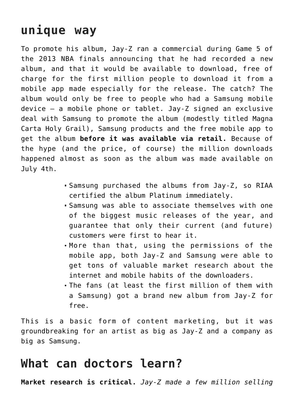# **unique way**

To promote his album, Jay-Z ran a commercial during Game 5 of the 2013 NBA finals announcing that he had recorded a new album, and that it would be available to download, free of charge for the first million people to download it from a mobile app made especially for the release. The catch? The album would only be free to people who had a Samsung mobile device – a mobile phone or tablet. Jay-Z signed an exclusive deal with Samsung to promote the album (modestly titled Magna Carta Holy Grail), Samsung products and the free mobile app to get the album **before it was available via retail.** Because of the hype (and the price, of course) the million downloads happened almost as soon as the album was made available on July 4th.

- Samsung purchased the albums from Jay-Z, so RIAA certified the album Platinum immediately.
- Samsung was able to associate themselves with one of the biggest music releases of the year, and guarantee that only their current (and future) customers were first to hear it.
- More than that, using the permissions of the mobile app, both Jay-Z and Samsung were able to get tons of valuable market research about the internet and mobile habits of the downloaders.
- The fans (at least the first million of them with a Samsung) got a brand new album from Jay-Z for free.

This is a basic form of content marketing, but it was groundbreaking for an artist as big as Jay-Z and a company as big as Samsung.

### **What can doctors learn?**

**Market research is critical.** *Jay-Z made a few million selling*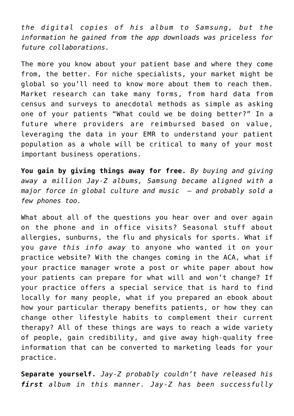*the digital copies of his album to Samsung, but the information he gained from the app downloads was priceless for future collaborations.* 

The more you know about your patient base and where they come from, the better. For niche specialists, your market might be global so you'll need to know more about them to reach them. Market research can take many forms, from hard data from census and surveys to anecdotal methods as simple as asking one of your patients "What could we be doing better?" In a future where providers are reimbursed based on value, leveraging the data in your EMR to understand your patient population as a whole will be critical to many of your most important business operations.

**You gain by giving things away for free.** *By buying and giving away a million Jay-Z albums, Samsung became aligned with a major force in global culture and music – and probably sold a few phones too.*

What about all of the questions you hear over and over again on the phone and in office visits? Seasonal stuff about allergies, sunburns, the flu and physicals for sports. What if you *gave this info away* to anyone who wanted it on your practice website? With the changes coming in the ACA, what if your practice manager wrote a post or white paper about how your patients can prepare for what will and won't change? If your practice offers a special service that is hard to find locally for many people, what if you prepared an ebook about how your particular therapy benefits patients, or how they can change other lifestyle habits to complement their current therapy? All of these things are ways to reach a wide variety of people, gain credibility, and give away high-quality free information that can be converted to marketing leads for your practice.

**Separate yourself.** *Jay-Z probably couldn't have released his first album in this manner. Jay-Z has been successfully*